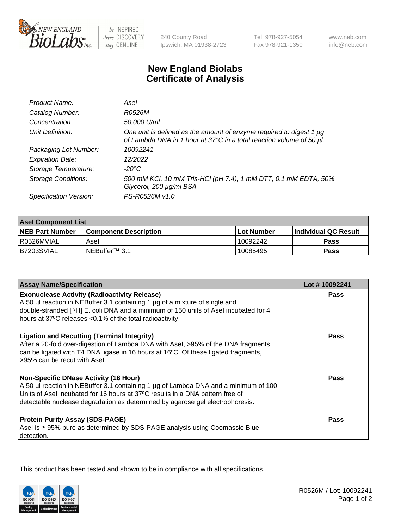

 $be$  INSPIRED drive DISCOVERY stay GENUINE

240 County Road Ipswich, MA 01938-2723 Tel 978-927-5054 Fax 978-921-1350

www.neb.com info@neb.com

## **New England Biolabs Certificate of Analysis**

| Product Name:              | Asel                                                                                                                                        |
|----------------------------|---------------------------------------------------------------------------------------------------------------------------------------------|
| Catalog Number:            | R0526M                                                                                                                                      |
| Concentration:             | 50,000 U/ml                                                                                                                                 |
| Unit Definition:           | One unit is defined as the amount of enzyme required to digest 1 µg<br>of Lambda DNA in 1 hour at 37°C in a total reaction volume of 50 µl. |
| Packaging Lot Number:      | 10092241                                                                                                                                    |
| <b>Expiration Date:</b>    | 12/2022                                                                                                                                     |
| Storage Temperature:       | $-20^{\circ}$ C                                                                                                                             |
| <b>Storage Conditions:</b> | 500 mM KCI, 10 mM Tris-HCI (pH 7.4), 1 mM DTT, 0.1 mM EDTA, 50%<br>Glycerol, 200 µg/ml BSA                                                  |
| Specification Version:     | PS-R0526M v1.0                                                                                                                              |

| <b>Asel Component List</b> |                              |                   |                        |  |
|----------------------------|------------------------------|-------------------|------------------------|--|
| <b>NEB Part Number</b>     | <b>Component Description</b> | <b>Lot Number</b> | l Individual QC Result |  |
| R0526MVIAL                 | Asel                         | 10092242          | Pass                   |  |
| I B7203SVIAL               | NEBuffer™ 3.1                | 10085495          | Pass                   |  |

| <b>Assay Name/Specification</b>                                                                                                                                                                                                                                                                       | Lot #10092241 |
|-------------------------------------------------------------------------------------------------------------------------------------------------------------------------------------------------------------------------------------------------------------------------------------------------------|---------------|
| <b>Exonuclease Activity (Radioactivity Release)</b><br>A 50 µl reaction in NEBuffer 3.1 containing 1 µg of a mixture of single and<br>double-stranded [3H] E. coli DNA and a minimum of 150 units of Asel incubated for 4<br>hours at 37°C releases <0.1% of the total radioactivity.                 | <b>Pass</b>   |
| <b>Ligation and Recutting (Terminal Integrity)</b><br>After a 20-fold over-digestion of Lambda DNA with Asel, >95% of the DNA fragments<br>can be ligated with T4 DNA ligase in 16 hours at 16°C. Of these ligated fragments,<br>>95% can be recut with Asel.                                         | Pass          |
| <b>Non-Specific DNase Activity (16 Hour)</b><br>A 50 µl reaction in NEBuffer 3.1 containing 1 µg of Lambda DNA and a minimum of 100<br>Units of Asel incubated for 16 hours at 37°C results in a DNA pattern free of<br>detectable nuclease degradation as determined by agarose gel electrophoresis. | Pass          |
| <b>Protein Purity Assay (SDS-PAGE)</b><br>Asel is ≥ 95% pure as determined by SDS-PAGE analysis using Coomassie Blue<br>detection.                                                                                                                                                                    | <b>Pass</b>   |

This product has been tested and shown to be in compliance with all specifications.